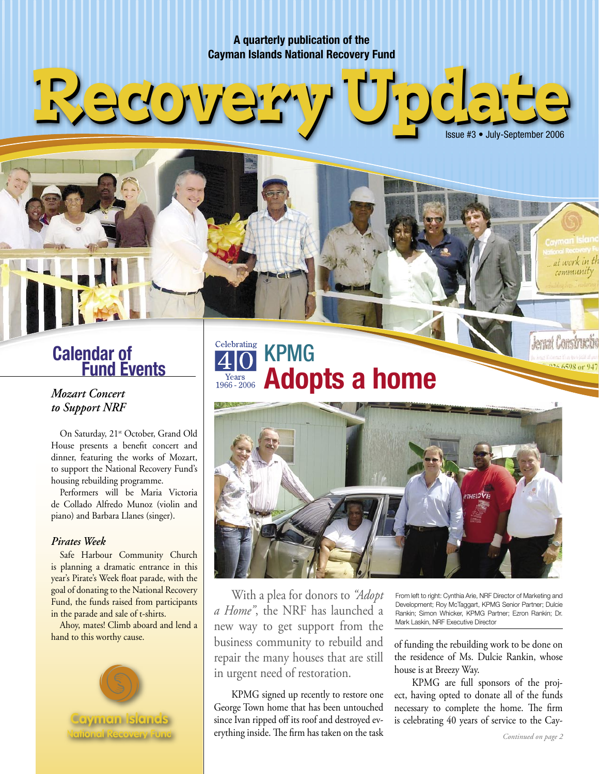**A quarterly publication of the Cayman Islands National Recovery Fund**

# **Calendar of<br>Fund Events**

Redove

### *Mozart Concert to Support NRF*

On Saturday, 21<sup>st</sup> October, Grand Old House presents a benefit concert and dinner, featuring the works of Mozart, to support the National Recovery Fund's housing rebuilding programme.

 Performers will be Maria Victoria de Collado Alfredo Munoz (violin and piano) and Barbara Llanes (singer).

#### *Pirates Week*

Safe Harbour Community Church is planning a dramatic entrance in this year's Pirate's Week float parade, with the goal of donating to the National Recovery Fund, the funds raised from participants in the parade and sale of t-shirts.

 Ahoy, mates! Climb aboard and lend a hand to this worthy cause.



Celebrating KPMG **Adopts a home** 



With a plea for donors to *"Adopt a Home"*, the NRF has launched a new way to get support from the business community to rebuild and repair the many houses that are still in urgent need of restoration.

KPMG signed up recently to restore one George Town home that has been untouched since Ivan ripped off its roof and destroyed everything inside. The firm has taken on the task From left to right: Cynthia Arie, NRF Director of Marketing and Development; Roy McTaggart, KPMG Senior Partner; Dulcie Rankin; Simon Whicker, KPMG Partner; Ezron Rankin; Dr. Mark Laskin, NRF Executive Director

Issue #3 • July-September 2006

at work in t *community* 

**Jernat Constru** 

of funding the rebuilding work to be done on the residence of Ms. Dulcie Rankin, whose house is at Breezy Way.

 KPMG are full sponsors of the project, having opted to donate all of the funds necessary to complete the home. The firm is celebrating 40 years of service to the Cay-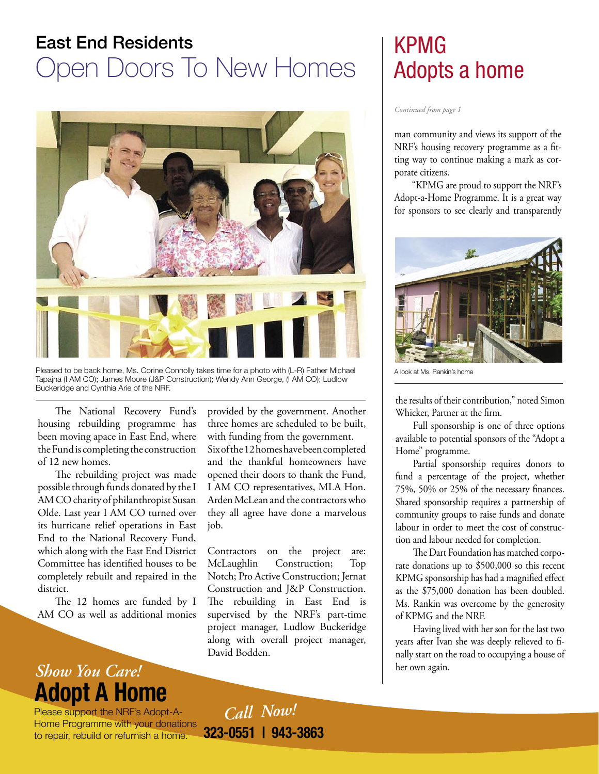## East End Residents Open Doors To New Homes



Pleased to be back home, Ms. Corine Connolly takes time for a photo with (L-R) Father Michael Tapajna (I AM CO); James Moore (J&P Construction); Wendy Ann George, (I AM CO); Ludlow Buckeridge and Cynthia Arie of the NRF.

The National Recovery Fund's housing rebuilding programme has been moving apace in East End, where the Fund is completing the construction of 12 new homes.

 The rebuilding project was made possible through funds donated by the I AM CO charity of philanthropist Susan Olde. Last year I AM CO turned over its hurricane relief operations in East End to the National Recovery Fund, which along with the East End District Committee has identified houses to be completely rebuilt and repaired in the district.

The 12 homes are funded by I AM CO as well as additional monies

### **Show You Care!** her own again. **Adopt A Home**

Please support the NRF's Adopt-A-Home Programme with your donations to repair, rebuild or refurnish a home. **323-0551 | 943-3863**

provided by the government. Another three homes are scheduled to be built, with funding from the government. Six of the 12 homes have been completed and the thankful homeowners have opened their doors to thank the Fund, I AM CO representatives, MLA Hon. Arden McLean and the contractors who they all agree have done a marvelous job.

Contractors on the project are: McLaughlin Construction; Top Notch; Pro Active Construction; Jernat Construction and J&P Construction. The rebuilding in East End is supervised by the NRF's part-time project manager, Ludlow Buckeridge along with overall project manager, David Bodden.

## KPMG Adopts a home

*Continued from page 1*

man community and views its support of the NRF's housing recovery programme as a fitting way to continue making a mark as corporate citizens.

 "KPMG are proud to support the NRF's Adopt-a-Home Programme. It is a great way for sponsors to see clearly and transparently



A look at Ms. Rankin's home

the results of their contribution," noted Simon Whicker, Partner at the firm.

 Full sponsorship is one of three options available to potential sponsors of the "Adopt a Home" programme.

 Partial sponsorship requires donors to fund a percentage of the project, whether 75%, 50% or 25% of the necessary finances. Shared sponsorship requires a partnership of community groups to raise funds and donate labour in order to meet the cost of construction and labour needed for completion.

 The Dart Foundation has matched corporate donations up to \$500,000 so this recent KPMG sponsorship has had a magnified effect as the \$75,000 donation has been doubled. Ms. Rankin was overcome by the generosity of KPMG and the NRF.

 Having lived with her son for the last two years after Ivan she was deeply relieved to finally start on the road to occupying a house of

*Call Now!*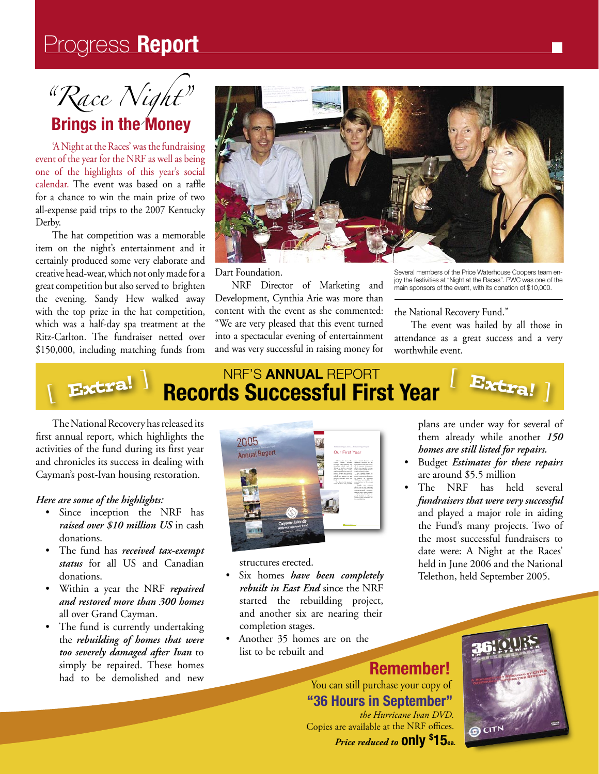## Progress Report

"Race Night"

### **Brings in the Money**

'A Night at the Races' was the fundraising event of the year for the NRF as well as being one of the highlights of this year's social calendar. The event was based on a raffle for a chance to win the main prize of two all-expense paid trips to the 2007 Kentucky Derby.

The hat competition was a memorable item on the night's entertainment and it certainly produced some very elaborate and creative head-wear, which not only made for a great competition but also served to brighten the evening. Sandy Hew walked away with the top prize in the hat competition, which was a half-day spa treatment at the Ritz-Carlton. The fundraiser netted over \$150,000, including matching funds from



Dart Foundation.

NRF Director of Marketing and Development, Cynthia Arie was more than content with the event as she commented: "We are very pleased that this event turned into a spectacular evening of entertainment and was very successful in raising money for Several members of the Price Waterhouse Coopers team enjoy the festivities at "Night at the Races". PWC was one of the main sponsors of the event, with its donation of \$10,000.

the National Recovery Fund."

The event was hailed by all those in attendance as a great success and a very worthwhile event.



The National Recovery has released its first annual report, which highlights the activities of the fund during its first year and chronicles its success in dealing with Cayman's post-Ivan housing restoration.

#### Here are some of the highlights:

- Since inception the NRF has raised over \$10 million US in cash donations.
- The fund has received tax-exempt  $\bullet$ status for all US and Canadian donations.
- Within a year the NRF repaired and restored more than 300 homes all over Grand Cayman.
- The fund is currently undertaking the rebuilding of homes that were too severely damaged after Ivan to simply be repaired. These homes had to be demolished and new



structures erected.

- Six homes have been completely rebuilt in East End since the NRF started the rebuilding project, and another six are nearing their completion stages.
- Another 35 homes are on the list to be rebuilt and

plans are under way for several of them already while another 150 homes are still listed for repairs.

- Budget Estimates for these repairs are around \$5.5 million
- The NRF has held several fundraisers that were very successful and played a major role in aiding the Fund's many projects. Two of the most successful fundraisers to date were: A Night at the Races' held in June 2006 and the National Telethon, held September 2005.

**Remember!**